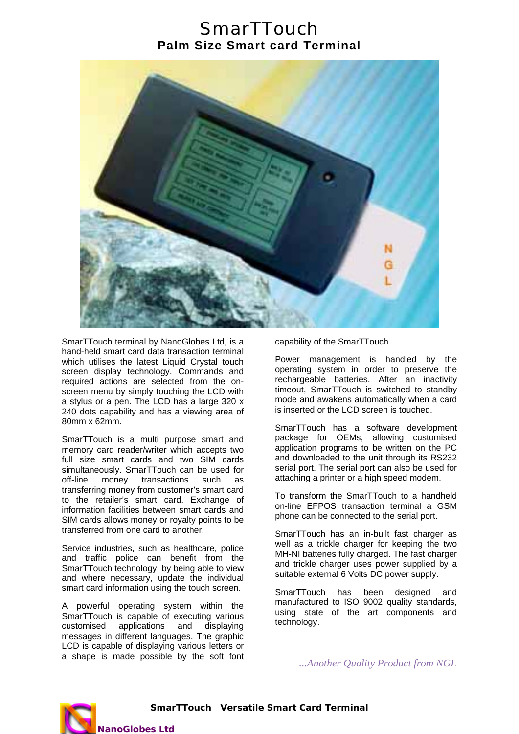## **SmarTTouch Palm Size Smart card Terminal**



SmarTTouch terminal by NanoGlobes Ltd, is a hand-held smart card data transaction terminal which utilises the latest Liquid Crystal touch screen display technology. Commands and required actions are selected from the onscreen menu by simply touching the LCD with a stylus or a pen. The LCD has a large 320 x 240 dots capability and has a viewing area of 80mm x 62mm.

SmarTTouch is a multi purpose smart and memory card reader/writer which accepts two full size smart cards and two SIM cards simultaneously. SmarTTouch can be used for off-line money transactions such as transferring money from customer's smart card to the retailer's smart card. Exchange of information facilities between smart cards and SIM cards allows money or royalty points to be transferred from one card to another.

Service industries, such as healthcare, police and traffic police can benefit from the SmarTTouch technology, by being able to view and where necessary, update the individual smart card information using the touch screen.

A powerful operating system within the SmarTTouch is capable of executing various customised applications and displaying messages in different languages. The graphic LCD is capable of displaying various letters or a shape is made possible by the soft font capability of the SmarTTouch.

Power management is handled by the operating system in order to preserve the rechargeable batteries. After an inactivity timeout, SmarTTouch is switched to standby mode and awakens automatically when a card is inserted or the LCD screen is touched.

SmarTTouch has a software development package for OEMs, allowing customised application programs to be written on the PC and downloaded to the unit through its RS232 serial port. The serial port can also be used for attaching a printer or a high speed modem.

To transform the SmarTTouch to a handheld on-line EFPOS transaction terminal a GSM phone can be connected to the serial port.

SmarTTouch has an in-built fast charger as well as a trickle charger for keeping the two MH-NI batteries fully charged. The fast charger and trickle charger uses power supplied by a suitable external 6 Volts DC power supply.

SmarTTouch has been designed and manufactured to ISO 9002 quality standards, using state of the art components and technology.

*...Another Quality Product from NGL* 



**SmarTTouch Versatile Smart Card Terminal**